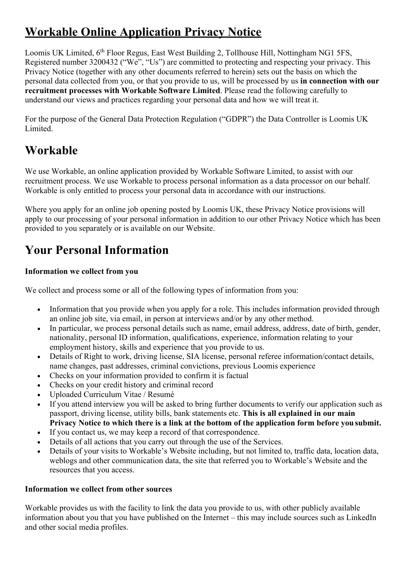# **Workable Online Application Privacy Notice**

Loomis UK Limited, 6<sup>th</sup> Floor Regus, East West Building 2, Tollhouse Hill, Nottingham NG1 5FS, Registered number 3200432 ("We", "Us") are committed to protecting and respecting your privacy. This Privacy Notice (together with any other documents referred to herein) sets out the basis on which the personal data collected from you, or that you provide to us, will be processed by us **in connection with our recruitment processes with Workable Software Limited**. Please read the following carefully to understand our views and practices regarding your personal data and how we will treat it.

For the purpose of the General Data Protection Regulation ("GDPR") the Data Controller is Loomis UK Limited.

### **Workable**

We use Workable, an online application provided by Workable Software Limited, to assist with our recruitment process. We use Workable to process personal information as a data processor on our behalf. Workable is only entitled to process your personal data in accordance with our instructions.

Where you apply for an online job opening posted by Loomis UK, these Privacy Notice provisions will apply to our processing of your personal information in addition to our other Privacy Notice which has been provided to you separately or is available on our Website.

# **Your Personal Information**

#### **Information we collect from you**

We collect and process some or all of the following types of information from you:

- Information that you provide when you apply for a role. This includes information provided through an online job site, via email, in person at interviews and/or by any other method.
- In particular, we process personal details such as name, email address, address, date of birth, gender, nationality, personal ID information, qualifications, experience, information relating to your employment history, skills and experience that you provide to us.
- Details of Right to work, driving license, SIA license, personal referee information/contact details, name changes, past addresses, criminal convictions, previous Loomis experience
- Checks on your information provided to confirm it is factual
- Checks on your credit history and criminal record
- Uploaded Curriculum Vitae / Resumé
- If you attend interview you will be asked to bring further documents to verify our application such as passport, driving license, utility bills, bank statements etc. **This is all explained in our main Privacy Notice to which there is a link at the bottom of the application form before yousubmit.**
- If you contact us, we may keep a record of that correspondence.
- Details of all actions that you carry out through the use of the Services.
- Details of your visits to Workable's Website including, but not limited to, traffic data, location data, weblogs and other communication data, the site that referred you to Workable's Website and the resources that you access.

#### **Information we collect from other sources**

Workable provides us with the facility to link the data you provide to us, with other publicly available information about you that you have published on the Internet – this may include sources such as LinkedIn and other social media profiles.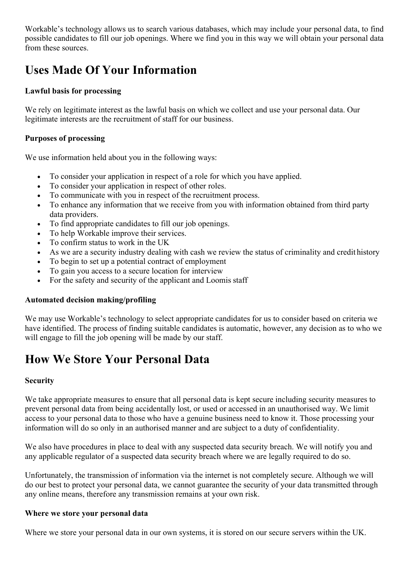Workable's technology allows us to search various databases, which may include your personal data, to find possible candidates to fill our job openings. Where we find you in this way we will obtain your personal data from these sources.

## **Uses Made Of Your Information**

#### **Lawful basis for processing**

We rely on legitimate interest as the lawful basis on which we collect and use your personal data. Our legitimate interests are the recruitment of staff for our business.

#### **Purposes of processing**

We use information held about you in the following ways:

- To consider your application in respect of a role for which you have applied.
- To consider your application in respect of other roles.
- To communicate with you in respect of the recruitment process.
- To enhance any information that we receive from you with information obtained from third party data providers.
- To find appropriate candidates to fill our job openings.
- To help Workable improve their services.
- To confirm status to work in the UK
- As we are a security industry dealing with cash we review the status of criminality and credit history
- To begin to set up a potential contract of employment
- To gain you access to a secure location for interview
- For the safety and security of the applicant and Loomis staff

#### **Automated decision making/profiling**

We may use Workable's technology to select appropriate candidates for us to consider based on criteria we have identified. The process of finding suitable candidates is automatic, however, any decision as to who we will engage to fill the job opening will be made by our staff.

## **How We Store Your Personal Data**

#### **Security**

We take appropriate measures to ensure that all personal data is kept secure including security measures to prevent personal data from being accidentally lost, or used or accessed in an unauthorised way. We limit access to your personal data to those who have a genuine business need to know it. Those processing your information will do so only in an authorised manner and are subject to a duty of confidentiality.

We also have procedures in place to deal with any suspected data security breach. We will notify you and any applicable regulator of a suspected data security breach where we are legally required to do so.

Unfortunately, the transmission of information via the internet is not completely secure. Although we will do our best to protect your personal data, we cannot guarantee the security of your data transmitted through any online means, therefore any transmission remains at your own risk.

#### **Where we store your personal data**

Where we store your personal data in our own systems, it is stored on our secure servers within the UK.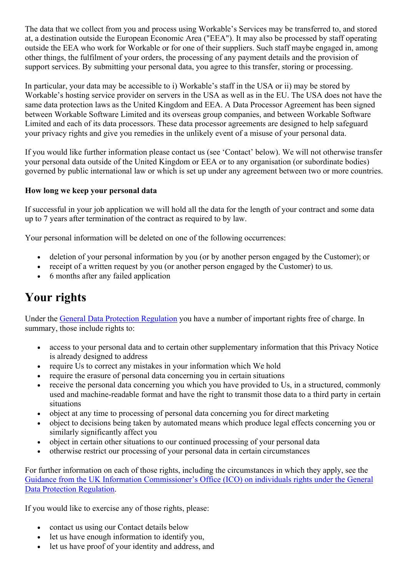The data that we collect from you and process using Workable's Services may be transferred to, and stored at, a destination outside the European Economic Area ("EEA"). It may also be processed by staff operating outside the EEA who work for Workable or for one of their suppliers. Such staff maybe engaged in, among other things, the fulfilment of your orders, the processing of any payment details and the provision of support services. By submitting your personal data, you agree to this transfer, storing or processing.

In particular, your data may be accessible to i) Workable's staff in the USA or ii) may be stored by Workable's hosting service provider on servers in the USA as well as in the EU. The USA does not have the same data protection laws as the United Kingdom and EEA. A Data Processor Agreement has been signed between Workable Software Limited and its overseas group companies, and between Workable Software Limited and each of its data processors. These data processor agreements are designed to help safeguard your privacy rights and give you remedies in the unlikely event of a misuse of your personal data.

If you would like further information please contact us (see 'Contact' below). We will not otherwise transfer your personal data outside of the United Kingdom or EEA or to any organisation (or subordinate bodies) governed by public international law or which is set up under any agreement between two or more countries.

#### **How long we keep your personal data**

If successful in your job application we will hold all the data for the length of your contract and some data up to 7 years after termination of the contract as required to by law.

Your personal information will be deleted on one of the following occurrences:

- deletion of your personal information by you (or by another person engaged by the Customer); or
- receipt of a written request by you (or another person engaged by the Customer) to us.
- 6 months after any failed application

## **Your rights**

Under the General Data Protection Regulation you have a number of important rights free of charge. In summary, those include rights to:

- access to your personal data and to certain other supplementary information that this Privacy Notice is already designed to address
- require Us to correct any mistakes in your information which We hold
- require the erasure of personal data concerning you in certain situations
- receive the personal data concerning you which you have provided to Us, in a structured, commonly used and machine-readable format and have the right to transmit those data to a third party in certain situations
- object at any time to processing of personal data concerning you for direct marketing
- object to decisions being taken by automated means which produce legal effects concerning you or similarly significantly affect you
- object in certain other situations to our continued processing of your personal data
- otherwise restrict our processing of your personal data in certain circumstances

For further information on each of those rights, including the circumstances in which they apply, see the Guidance from the UK Information Commissioner's Office (ICO) on individuals rights under the General Data Protection Regulation.

If you would like to exercise any of those rights, please:

- contact us using our Contact details below
- let us have enough information to identify you,
- let us have proof of your identity and address, and